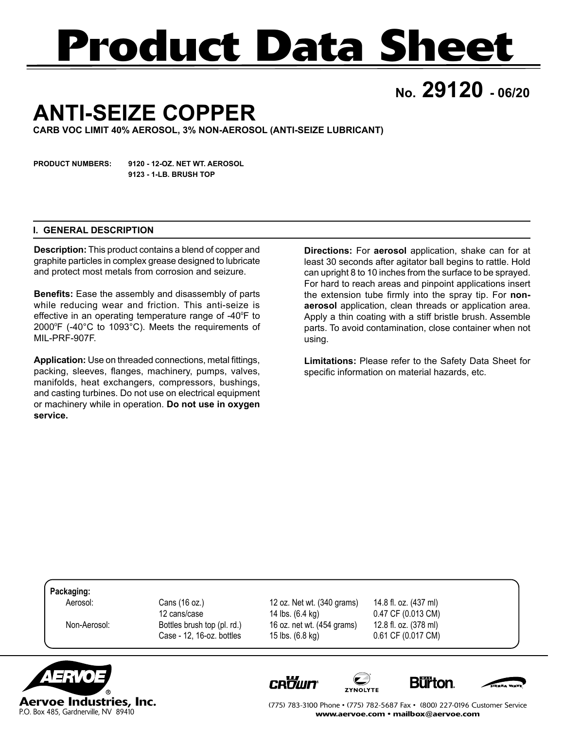# **Product Data Sheet**

**No. 29120 - 06/20**

## **ANTI-SEIZE COPPER**

**CARB VOC LIMIT 40% AEROSOL, 3% NON-AEROSOL (ANTI-SEIZE LUBRICANT)**

**PRODUCT NUMBERS: 9120 - 12-OZ. NET WT. AEROSOL 9123 - 1-LB. BRUSH TOP**

#### **I. GENERAL DESCRIPTION**

**Description:** This product contains a blend of copper and graphite particles in complex grease designed to lubricate and protect most metals from corrosion and seizure.

**Benefits:** Ease the assembly and disassembly of parts while reducing wear and friction. This anti-seize is effective in an operating temperature range of -40ºF to 2000ºF (-40°C to 1093°C). Meets the requirements of MIL-PRF-907F.

**Application:** Use on threaded connections, metal fittings, packing, sleeves, flanges, machinery, pumps, valves, manifolds, heat exchangers, compressors, bushings, and casting turbines. Do not use on electrical equipment or machinery while in operation. **Do not use in oxygen service.** 

**Directions:** For **aerosol** application, shake can for at least 30 seconds after agitator ball begins to rattle. Hold can upright 8 to 10 inches from the surface to be sprayed. For hard to reach areas and pinpoint applications insert the extension tube firmly into the spray tip. For **nonaerosol** application, clean threads or application area. Apply a thin coating with a stiff bristle brush. Assemble parts. To avoid contamination, close container when not using.

**Limitations:** Please refer to the Safety Data Sheet for specific information on material hazards, etc.

**Packaging:**

 Aerosol: Cans (16 oz.) 12 oz. Net wt. (340 grams) 14.8 fl. oz. (437 ml) 12 cans/case 14 lbs. (6.4 kg) 0.47 CF (0.013 CM) Non-Aerosol: Bottles brush top (pl. rd.) 16 oz. net wt. (454 grams) 12.8 fl. oz. (378 ml) Case - 12, 16-oz. bottles 15 lbs. (6.8 kg) 0.61 CF (0.017 CM)



**CROWN** 







(775) 783-3100 Phone • (775) 782-5687 Fax • (800) 227-0196 Customer Service www.aervoe.com • mailbox@aervoe.com